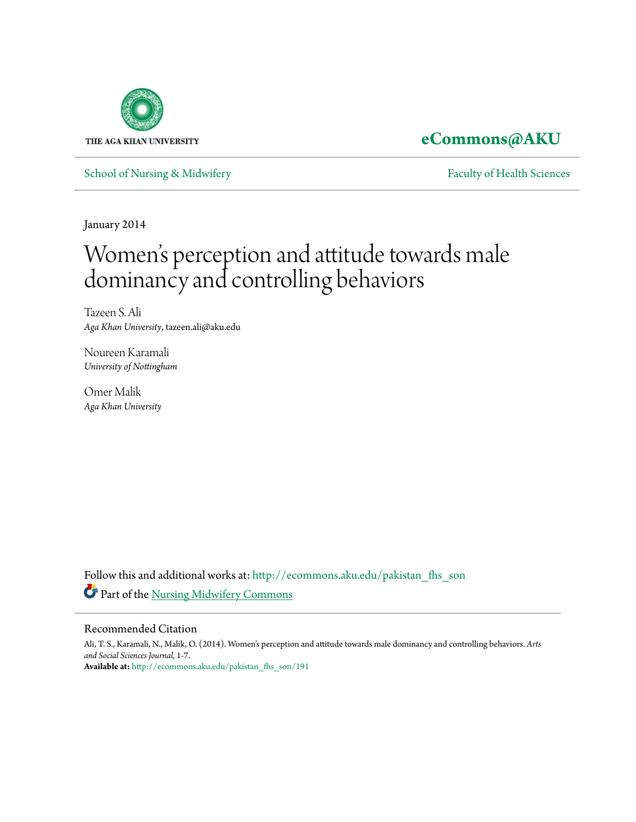

**[eCommons@AKU](http://ecommons.aku.edu?utm_source=ecommons.aku.edu%2Fpakistan_fhs_son%2F191&utm_medium=PDF&utm_campaign=PDFCoverPages)**

[School of Nursing & Midwifery](http://ecommons.aku.edu/pakistan_fhs_son?utm_source=ecommons.aku.edu%2Fpakistan_fhs_son%2F191&utm_medium=PDF&utm_campaign=PDFCoverPages) **[Faculty of Health Sciences](http://ecommons.aku.edu/pakistan_fhs?utm_source=ecommons.aku.edu%2Fpakistan_fhs_son%2F191&utm_medium=PDF&utm_campaign=PDFCoverPages)** Faculty of Health Sciences

January 2014

## Women s perception and attitude towards male י<br>'. dominancy and controlling behaviors

Tazeen S. Ali *Aga Khan University*, tazeen.ali@aku.edu

Noureen Karamali *University of Nottingham*

Omer Malik *Aga Khan University*

Follow this and additional works at: [http://ecommons.aku.edu/pakistan\\_fhs\\_son](http://ecommons.aku.edu/pakistan_fhs_son?utm_source=ecommons.aku.edu%2Fpakistan_fhs_son%2F191&utm_medium=PDF&utm_campaign=PDFCoverPages) Part of the [Nursing Midwifery Commons](http://network.bepress.com/hgg/discipline/722?utm_source=ecommons.aku.edu%2Fpakistan_fhs_son%2F191&utm_medium=PDF&utm_campaign=PDFCoverPages)

## Recommended Citation

Ali, T. S., Karamali, N., Malik, O. (2014). Women's perception and attitude towards male dominancy and controlling behaviors. *Arts and Social Sciences Journal*, 1-7. **Available at:** [http://ecommons.aku.edu/pakistan\\_fhs\\_son/191](http://ecommons.aku.edu/pakistan_fhs_son/191)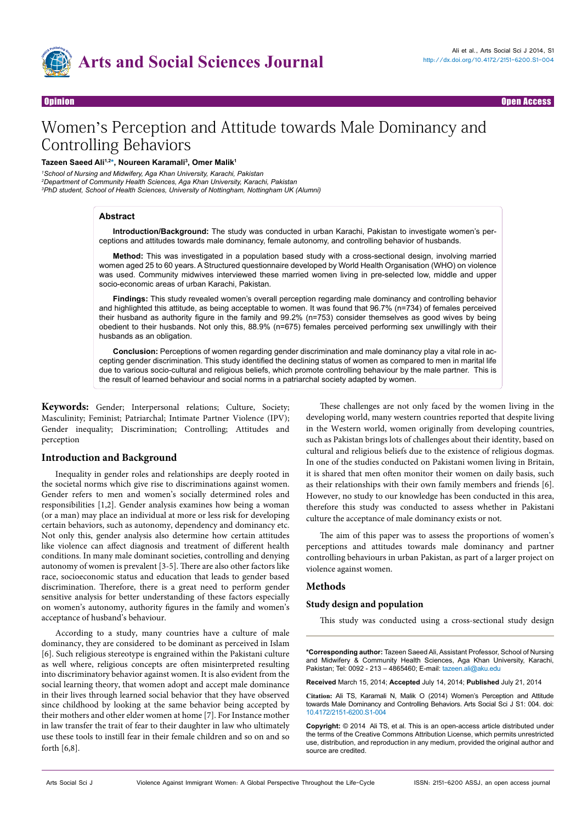

Opinion Open Access

# Women's Perception and Attitude towards Male Dominancy and Controlling Behaviors

## **Tazeen Saeed Ali1,2\*, Noureen Karamali3 , Omer Malik1**

*1 School of Nursing and Midwifery, Aga Khan University, Karachi, Pakistan 2 Department of Community Health Sciences, Aga Khan University, Karachi, Pakistan 3 PhD student, School of Health Sciences, University of Nottingham, Nottingham UK (Alumni)*

#### **Abstract**

**Introduction/Background:** The study was conducted in urban Karachi, Pakistan to investigate women's perceptions and attitudes towards male dominancy, female autonomy, and controlling behavior of husbands.

**Method:** This was investigated in a population based study with a cross-sectional design, involving married women aged 25 to 60 years. A Structured questionnaire developed by World Health Organisation (WHO) on violence was used. Community midwives interviewed these married women living in pre-selected low, middle and upper socio-economic areas of urban Karachi, Pakistan.

**Findings:** This study revealed women's overall perception regarding male dominancy and controlling behavior and highlighted this attitude, as being acceptable to women. It was found that 96.7% (n=734) of females perceived their husband as authority figure in the family and 99.2% (n=753) consider themselves as good wives by being obedient to their husbands. Not only this, 88.9% (n=675) females perceived performing sex unwillingly with their husbands as an obligation.

**Conclusion:** Perceptions of women regarding gender discrimination and male dominancy play a vital role in accepting gender discrimination. This study identified the declining status of women as compared to men in marital life due to various socio-cultural and religious beliefs, which promote controlling behaviour by the male partner. This is the result of learned behaviour and social norms in a patriarchal society adapted by women.

**Keywords:** Gender; Interpersonal relations; Culture, Society; Masculinity; Feminist; Patriarchal; Intimate Partner Violence (IPV); Gender inequality; Discrimination; Controlling; Attitudes and perception

## **Introduction and Background**

Inequality in gender roles and relationships are deeply rooted in the societal norms which give rise to discriminations against women. Gender refers to men and women's socially determined roles and responsibilities [1,2]. Gender analysis examines how being a woman (or a man) may place an individual at more or less risk for developing certain behaviors, such as autonomy, dependency and dominancy etc. Not only this, gender analysis also determine how certain attitudes like violence can affect diagnosis and treatment of different health conditions. In many male dominant societies, controlling and denying autonomy of women is prevalent [3-5]. There are also other factors like race, socioeconomic status and education that leads to gender based discrimination. Therefore, there is a great need to perform gender sensitive analysis for better understanding of these factors especially on women's autonomy, authority figures in the family and women's acceptance of husband's behaviour.

According to a study, many countries have a culture of male dominancy, they are considered to be dominant as perceived in Islam [6]. Such religious stereotype is engrained within the Pakistani culture as well where, religious concepts are often misinterpreted resulting into discriminatory behavior against women. It is also evident from the social learning theory, that women adopt and accept male dominance in their lives through learned social behavior that they have observed since childhood by looking at the same behavior being accepted by their mothers and other elder women at home [7]. For Instance mother in law transfer the trait of fear to their daughter in law who ultimately use these tools to instill fear in their female children and so on and so forth [6,8].

These challenges are not only faced by the women living in the developing world, many western countries reported that despite living in the Western world, women originally from developing countries, such as Pakistan brings lots of challenges about their identity, based on cultural and religious beliefs due to the existence of religious dogmas. In one of the studies conducted on Pakistani women living in Britain, it is shared that men often monitor their women on daily basis, such as their relationships with their own family members and friends [6]. However, no study to our knowledge has been conducted in this area, therefore this study was conducted to assess whether in Pakistani culture the acceptance of male dominancy exists or not.

The aim of this paper was to assess the proportions of women's perceptions and attitudes towards male dominancy and partner controlling behaviours in urban Pakistan, as part of a larger project on violence against women.

## **Methods**

## **Study design and population**

This study was conducted using a cross-sectional study design

**\*Corresponding author:** Tazeen Saeed Ali, Assistant Professor, School of Nursing and Midwifery & Community Health Sciences, Aga Khan University, Karachi, Pakistan; Tel: 0092 - 213 – 4865460; E-mail: tazeen.ali@aku.edu

**Received** March 15, 2014; **Accepted** July 14, 2014; **Published** July 21, 2014

**Citation:** Ali TS, Karamali N, Malik O (2014) Women's Perception and Attitude towards Male Dominancy and Controlling Behaviors. Arts Social Sci J S1: 004. doi: [10.4172/2151-6200.S1-004](http://dx.doi.org/10.4172/2151-6200.S1-004)

**Copyright:** © 2014 Ali TS, et al. This is an open-access article distributed under the terms of the Creative Commons Attribution License, which permits unrestricted use, distribution, and reproduction in any medium, provided the original author and source are credited.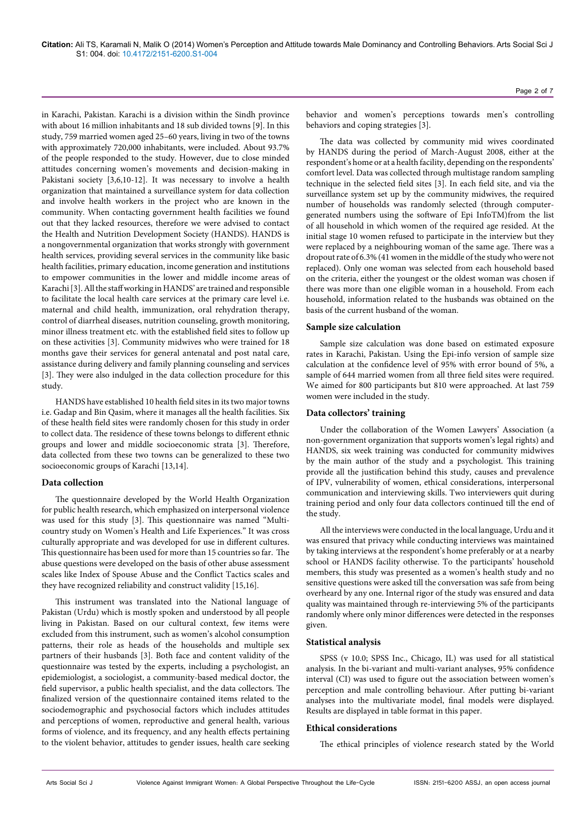in Karachi, Pakistan. Karachi is a division within the Sindh province with about 16 million inhabitants and 18 sub divided towns [9]. In this study, 759 married women aged 25–60 years, living in two of the towns with approximately 720,000 inhabitants, were included. About 93.7% of the people responded to the study. However, due to close minded attitudes concerning women's movements and decision-making in Pakistani society [3,6,10-12]. It was necessary to involve a health organization that maintained a surveillance system for data collection and involve health workers in the project who are known in the community. When contacting government health facilities we found out that they lacked resources, therefore we were advised to contact the Health and Nutrition Development Society (HANDS). HANDS is a nongovernmental organization that works strongly with government health services, providing several services in the community like basic health facilities, primary education, income generation and institutions to empower communities in the lower and middle income areas of Karachi [3]. All the staff working in HANDS' are trained and responsible to facilitate the local health care services at the primary care level i.e. maternal and child health, immunization, oral rehydration therapy, control of diarrheal diseases, nutrition counseling, growth monitoring, minor illness treatment etc. with the established field sites to follow up on these activities [3]. Community midwives who were trained for 18 months gave their services for general antenatal and post natal care, assistance during delivery and family planning counseling and services [3]. They were also indulged in the data collection procedure for this study.

HANDS have established 10 health field sites in its two major towns i.e. Gadap and Bin Qasim, where it manages all the health facilities. Six of these health field sites were randomly chosen for this study in order to collect data. The residence of these towns belongs to different ethnic groups and lower and middle socioeconomic strata [3]. Therefore, data collected from these two towns can be generalized to these two socioeconomic groups of Karachi [13,14].

## **Data collection**

The questionnaire developed by the World Health Organization for public health research, which emphasized on interpersonal violence was used for this study [3]. This questionnaire was named "Multicountry study on Women's Health and Life Experiences." It was cross culturally appropriate and was developed for use in different cultures. This questionnaire has been used for more than 15 countries so far. The abuse questions were developed on the basis of other abuse assessment scales like Index of Spouse Abuse and the Conflict Tactics scales and they have recognized reliability and construct validity [15,16].

This instrument was translated into the National language of Pakistan (Urdu) which is mostly spoken and understood by all people living in Pakistan. Based on our cultural context, few items were excluded from this instrument, such as women's alcohol consumption patterns, their role as heads of the households and multiple sex partners of their husbands [3]. Both face and content validity of the questionnaire was tested by the experts, including a psychologist, an epidemiologist, a sociologist, a community-based medical doctor, the field supervisor, a public health specialist, and the data collectors. The finalized version of the questionnaire contained items related to the sociodemographic and psychosocial factors which includes attitudes and perceptions of women, reproductive and general health, various forms of violence, and its frequency, and any health effects pertaining to the violent behavior, attitudes to gender issues, health care seeking

behavior and women's perceptions towards men's controlling behaviors and coping strategies [3].

The data was collected by community mid wives coordinated by HANDS during the period of March-August 2008, either at the respondent's home or at a health facility, depending on the respondents' comfort level. Data was collected through multistage random sampling technique in the selected field sites [3]. In each field site, and via the surveillance system set up by the community midwives, the required number of households was randomly selected (through computergenerated numbers using the software of Epi InfoTM)from the list of all household in which women of the required age resided. At the initial stage 10 women refused to participate in the interview but they were replaced by a neighbouring woman of the same age. There was a dropout rate of 6.3% (41 women in the middle of the study who were not replaced). Only one woman was selected from each household based on the criteria, either the youngest or the oldest woman was chosen if there was more than one eligible woman in a household. From each household, information related to the husbands was obtained on the basis of the current husband of the woman.

## **Sample size calculation**

Sample size calculation was done based on estimated exposure rates in Karachi, Pakistan. Using the Epi-info version of sample size calculation at the confidence level of 95% with error bound of 5%, a sample of 644 married women from all three field sites were required. We aimed for 800 participants but 810 were approached. At last 759 women were included in the study.

#### **Data collectors' training**

Under the collaboration of the Women Lawyers' Association (a non-government organization that supports women's legal rights) and HANDS, six week training was conducted for community midwives by the main author of the study and a psychologist. This training provide all the justification behind this study, causes and prevalence of IPV, vulnerability of women, ethical considerations, interpersonal communication and interviewing skills. Two interviewers quit during training period and only four data collectors continued till the end of the study.

All the interviews were conducted in the local language, Urdu and it was ensured that privacy while conducting interviews was maintained by taking interviews at the respondent's home preferably or at a nearby school or HANDS facility otherwise. To the participants' household members, this study was presented as a women's health study and no sensitive questions were asked till the conversation was safe from being overheard by any one. Internal rigor of the study was ensured and data quality was maintained through re-interviewing 5% of the participants randomly where only minor differences were detected in the responses given.

## **Statistical analysis**

SPSS (v 10.0; SPSS Inc., Chicago, IL) was used for all statistical analysis. In the bi-variant and multi-variant analyses, 95% confidence interval (CI) was used to figure out the association between women's perception and male controlling behaviour. After putting bi-variant analyses into the multivariate model, final models were displayed. Results are displayed in table format in this paper.

#### **Ethical considerations**

The ethical principles of violence research stated by the World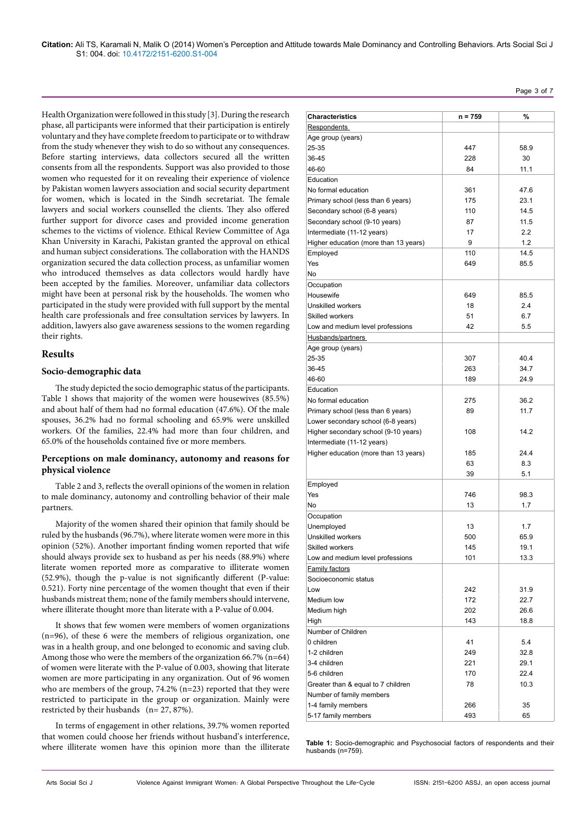**Citation:** Ali TS, Karamali N, Malik O (2014) Women's Perception and Attitude towards Male Dominancy and Controlling Behaviors. Arts Social Sci J S1: 004. doi: [10.4172/2151-6200.S1-004](http://dx.doi.org/10.4172/2151-6200.S1-004)

Health Organization were followed in this study [3]. During the research phase, all participants were informed that their participation is entirely voluntary and they have complete freedom to participate or to withdraw from the study whenever they wish to do so without any consequences. Before starting interviews, data collectors secured all the written consents from all the respondents. Support was also provided to those women who requested for it on revealing their experience of violence by Pakistan women lawyers association and social security department for women, which is located in the Sindh secretariat. The female lawyers and social workers counselled the clients. They also offered further support for divorce cases and provided income generation schemes to the victims of violence. Ethical Review Committee of Aga Khan University in Karachi, Pakistan granted the approval on ethical and human subject considerations. The collaboration with the HANDS organization secured the data collection process, as unfamiliar women who introduced themselves as data collectors would hardly have been accepted by the families. Moreover, unfamiliar data collectors might have been at personal risk by the households. The women who participated in the study were provided with full support by the mental health care professionals and free consultation services by lawyers. In addition, lawyers also gave awareness sessions to the women regarding their rights.

## **Results**

## **Socio-demographic data**

The study depicted the socio demographic status of the participants. Table 1 shows that majority of the women were housewives (85.5%) and about half of them had no formal education (47.6%). Of the male spouses, 36.2% had no formal schooling and 65.9% were unskilled workers. Of the families, 22.4% had more than four children, and 65.0% of the households contained five or more members.

## **Perceptions on male dominancy, autonomy and reasons for physical violence**

Table 2 and 3, reflects the overall opinions of the women in relation to male dominancy, autonomy and controlling behavior of their male partners.

Majority of the women shared their opinion that family should be ruled by the husbands (96.7%), where literate women were more in this opinion (52%). Another important finding women reported that wife should always provide sex to husband as per his needs (88.9%) where literate women reported more as comparative to illiterate women (52.9%), though the p-value is not significantly different (P-value: 0.521). Forty nine percentage of the women thought that even if their husbands mistreat them; none of the family members should intervene, where illiterate thought more than literate with a P-value of 0.004.

It shows that few women were members of women organizations (n=96), of these 6 were the members of religious organization, one was in a health group, and one belonged to economic and saving club. Among those who were the members of the organization 66.7% (n=64) of women were literate with the P-value of 0.003, showing that literate women are more participating in any organization. Out of 96 women who are members of the group, 74.2% (n=23) reported that they were restricted to participate in the group or organization. Mainly were restricted by their husbands (n= 27, 87%).

In terms of engagement in other relations, 39.7% women reported that women could choose her friends without husband's interference, where illiterate women have this opinion more than the illiterate

| <b>Characteristics</b>                | $n = 759$ | %    |  |  |
|---------------------------------------|-----------|------|--|--|
| <b>Respondents</b>                    |           |      |  |  |
| Age group (years)                     |           |      |  |  |
| 25-35                                 | 447       | 58.9 |  |  |
| 36-45                                 | 228       | 30   |  |  |
| 46-60                                 | 84        | 11.1 |  |  |
| Education                             |           |      |  |  |
| No formal education                   | 361       | 47.6 |  |  |
| Primary school (less than 6 years)    | 175       | 23.1 |  |  |
| Secondary school (6-8 years)          | 110       | 14.5 |  |  |
| Secondary school (9-10 years)         | 87        | 11.5 |  |  |
| Intermediate (11-12 years)            | 17        | 2.2  |  |  |
| Higher education (more than 13 years) | 9         | 1.2  |  |  |
| Employed                              | 110       | 14.5 |  |  |
| Yes                                   | 649       | 85.5 |  |  |
| No                                    |           |      |  |  |
| Occupation                            |           |      |  |  |
| Housewife                             | 649       | 85.5 |  |  |
| Unskilled workers                     | 18        | 2.4  |  |  |
| Skilled workers                       | 51        | 6.7  |  |  |
| Low and medium level professions      | 42        | 5.5  |  |  |
| Husbands/partners                     |           |      |  |  |
| Age group (years)                     |           |      |  |  |
| 25-35                                 | 307       | 40.4 |  |  |
| 36-45                                 | 263       | 34.7 |  |  |
| 46-60                                 | 189       | 24.9 |  |  |
| Education                             |           |      |  |  |
| No formal education                   | 275       | 36.2 |  |  |
| Primary school (less than 6 years)    | 89        | 11.7 |  |  |
| Lower secondary school (6-8 years)    |           |      |  |  |
| Higher secondary school (9-10 years)  | 108       | 14.2 |  |  |
| Intermediate (11-12 years)            |           |      |  |  |
| Higher education (more than 13 years) | 185       | 24.4 |  |  |
|                                       | 63        | 8.3  |  |  |
|                                       | 39        | 5.1  |  |  |
| Employed                              |           |      |  |  |
| Yes                                   | 746       | 98.3 |  |  |
| No                                    | 13        | 1.7  |  |  |
| Occupation                            |           |      |  |  |
| Unemployed                            | 13        | 1.7  |  |  |
| Unskilled workers                     | 500       | 65.9 |  |  |
| Skilled workers                       | 145       | 19.1 |  |  |
| Low and medium level professions      | 101       | 13.3 |  |  |
| <b>Family factors</b>                 |           |      |  |  |
| Socioeconomic status                  |           |      |  |  |
| Low                                   | 242       | 31.9 |  |  |
| Medium low                            | 172       | 22.7 |  |  |
| Medium high                           | 202       | 26.6 |  |  |
| High                                  | 143       | 18.8 |  |  |
| Number of Children                    |           |      |  |  |
| 0 children                            | 41        | 5.4  |  |  |
| 1-2 children                          | 249       | 32.8 |  |  |
| 3-4 children                          | 221       | 29.1 |  |  |
| 5-6 children                          | 170       | 22.4 |  |  |
| Greater than & equal to 7 children    | 78        | 10.3 |  |  |
|                                       |           |      |  |  |
| Number of family members              |           |      |  |  |
| 1-4 family members                    | 266       | 35   |  |  |
| 5-17 family members                   | 493       | 65   |  |  |

**Table 1:** Socio-demographic and Psychosocial factors of respondents and their husbands (n=759).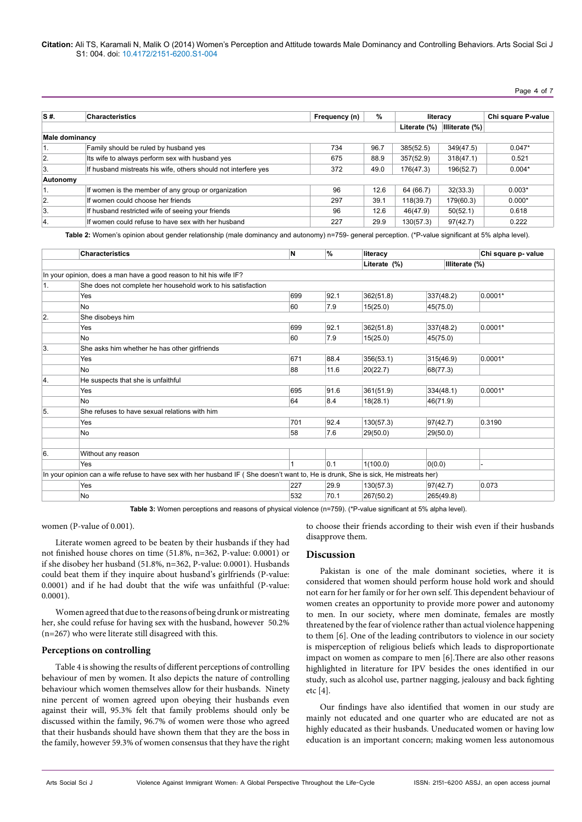Page 4 of 7

| S#.      | <b>Characteristics</b>                                         | Frequency (n) | %    | literacy     |                | Chi square P-value |
|----------|----------------------------------------------------------------|---------------|------|--------------|----------------|--------------------|
|          |                                                                |               |      | Literate (%) | Illiterate (%) |                    |
|          | <b>Male dominancy</b>                                          |               |      |              |                |                    |
| 1.       | Family should be ruled by husband yes                          | 734           | 96.7 | 385(52.5)    | 349(47.5)      | $0.047*$           |
| 2.       | Its wife to always perform sex with husband yes                | 675           | 88.9 | 357(52.9)    | 318(47.1)      | 0.521              |
| 3.       | If husband mistreats his wife, others should not interfere yes | 372           | 49.0 | 176(47.3)    | 196(52.7)      | $0.004*$           |
| Autonomy |                                                                |               |      |              |                |                    |
| 1.       | If women is the member of any group or organization            | 96            | 12.6 | 64 (66.7)    | 32(33.3)       | $0.003*$           |
| 2.       | If women could choose her friends                              | 297           | 39.1 | 118(39.7)    | 179(60.3)      | $0.000*$           |
| 3.       | If husband restricted wife of seeing your friends              | 96            | 12.6 | 46(47.9)     | 50(52.1)       | 0.618              |
| 4.       | If women could refuse to have sex with her husband             | 227           | 29.9 | 130(57.3)    | 97(42.7)       | 0.222              |

**Table 2:** Women's opinion about gender relationship (male dominancy and autonomy) n=759- general perception. (\*P-value significant at 5% alpha level).

|    | <b>Characteristics</b>                                                                                                              | N   | %    | literacy     |                | Chi square p- value |
|----|-------------------------------------------------------------------------------------------------------------------------------------|-----|------|--------------|----------------|---------------------|
|    |                                                                                                                                     |     |      | Literate (%) | Illiterate (%) |                     |
|    | In your opinion, does a man have a good reason to hit his wife IF?                                                                  |     |      |              |                |                     |
| 1. | She does not complete her household work to his satisfaction                                                                        |     |      |              |                |                     |
|    | Yes                                                                                                                                 | 699 | 92.1 | 362(51.8)    | 337(48.2)      | 0.0001*             |
|    | No                                                                                                                                  | 60  | 7.9  | 15(25.0)     | 45(75.0)       |                     |
| 2. | She disobeys him                                                                                                                    |     |      |              |                |                     |
|    | Yes                                                                                                                                 | 699 | 92.1 | 362(51.8)    | 337(48.2)      | $0.0001*$           |
|    | <b>No</b>                                                                                                                           | 60  | 7.9  | 15(25.0)     | 45(75.0)       |                     |
| 3. | She asks him whether he has other girlfriends                                                                                       |     |      |              |                |                     |
|    | Yes                                                                                                                                 | 671 | 88.4 | 356(53.1)    | 315(46.9)      | $0.0001*$           |
|    | No                                                                                                                                  | 88  | 11.6 | 20(22.7)     | 68(77.3)       |                     |
| 4. | He suspects that she is unfaithful                                                                                                  |     |      |              |                |                     |
|    | Yes                                                                                                                                 | 695 | 91.6 | 361(51.9)    | 334(48.1)      | 0.0001*             |
|    | <b>No</b>                                                                                                                           | 64  | 8.4  | 18(28.1)     | 46(71.9)       |                     |
| 5. | She refuses to have sexual relations with him                                                                                       |     |      |              |                |                     |
|    | Yes                                                                                                                                 | 701 | 92.4 | 130(57.3)    | 97(42.7)       | 0.3190              |
|    | No                                                                                                                                  | 58  | 7.6  | 29(50.0)     | 29(50.0)       |                     |
|    |                                                                                                                                     |     |      |              |                |                     |
| 6. | Without any reason                                                                                                                  |     |      |              |                |                     |
|    | Yes                                                                                                                                 |     | 0.1  | 1(100.0)     | 0(0.0)         |                     |
|    | In your opinion can a wife refuse to have sex with her husband IF (She doesn't want to, He is drunk, She is sick, He mistreats her) |     |      |              |                |                     |
|    | Yes                                                                                                                                 | 227 | 29.9 | 130(57.3)    | 97(42.7)       | 0.073               |
|    | No                                                                                                                                  | 532 | 70.1 | 267(50.2)    | 265(49.8)      |                     |

**Table 3:** Women perceptions and reasons of physical violence (n=759). (\*P-value significant at 5% alpha level).

women (P-value of 0.001).

Literate women agreed to be beaten by their husbands if they had not finished house chores on time (51.8%, n=362, P-value: 0.0001) or if she disobey her husband (51.8%, n=362, P-value: 0.0001). Husbands could beat them if they inquire about husband's girlfriends (P-value: 0.0001) and if he had doubt that the wife was unfaithful (P-value: 0.0001).

Women agreed that due to the reasons of being drunk or mistreating her, she could refuse for having sex with the husband, however 50.2% (n=267) who were literate still disagreed with this.

#### **Perceptions on controlling**

Table 4 is showing the results of different perceptions of controlling behaviour of men by women. It also depicts the nature of controlling behaviour which women themselves allow for their husbands. Ninety nine percent of women agreed upon obeying their husbands even against their will, 95.3% felt that family problems should only be discussed within the family, 96.7% of women were those who agreed that their husbands should have shown them that they are the boss in the family, however 59.3% of women consensus that they have the right

to choose their friends according to their wish even if their husbands disapprove them.

#### **Discussion**

Pakistan is one of the male dominant societies, where it is considered that women should perform house hold work and should not earn for her family or for her own self. This dependent behaviour of women creates an opportunity to provide more power and autonomy to men. In our society, where men dominate, females are mostly threatened by the fear of violence rather than actual violence happening to them [6]. One of the leading contributors to violence in our society is misperception of religious beliefs which leads to disproportionate impact on women as compare to men [6].There are also other reasons highlighted in literature for IPV besides the ones identified in our study, such as alcohol use, partner nagging, jealousy and back fighting etc [4].

Our findings have also identified that women in our study are mainly not educated and one quarter who are educated are not as highly educated as their husbands. Uneducated women or having low education is an important concern; making women less autonomous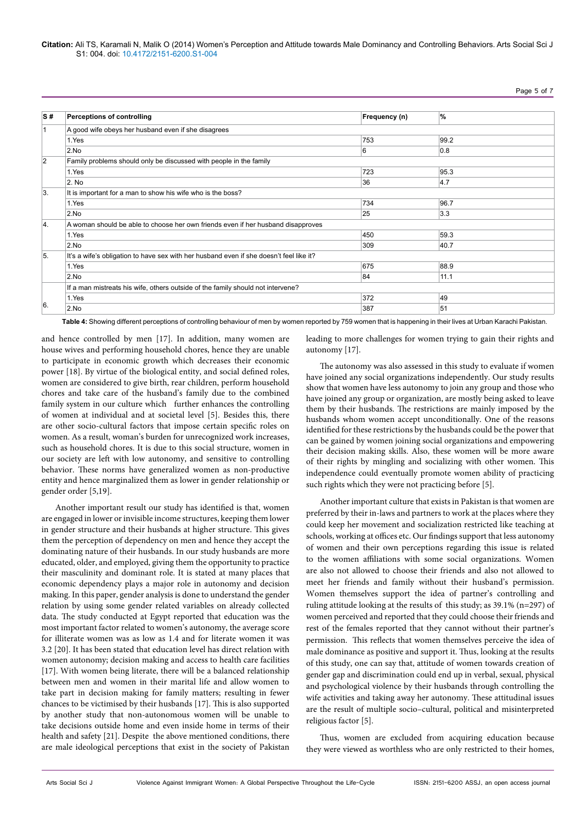**Citation:** Ali TS, Karamali N, Malik O (2014) Women's Perception and Attitude towards Male Dominancy and Controlling Behaviors. Arts Social Sci J S1: 004. doi: [10.4172/2151-6200.S1-004](http://dx.doi.org/10.4172/2151-6200.S1-004)

| S#                                                                                            | <b>Perceptions of controlling</b>                                                | Frequency (n) | $\frac{9}{6}$ |  |  |
|-----------------------------------------------------------------------------------------------|----------------------------------------------------------------------------------|---------------|---------------|--|--|
| 1                                                                                             | A good wife obeys her husband even if she disagrees                              |               |               |  |  |
|                                                                                               | 1.Yes                                                                            | 753           | 99.2          |  |  |
|                                                                                               | 2.No                                                                             | 6             | 0.8           |  |  |
| 2                                                                                             | Family problems should only be discussed with people in the family               |               |               |  |  |
|                                                                                               | 1.Yes                                                                            | 723           | 95.3          |  |  |
|                                                                                               | 2. No                                                                            | 36            | 4.7           |  |  |
| 3.                                                                                            | It is important for a man to show his wife who is the boss?                      |               |               |  |  |
|                                                                                               | 1.Yes                                                                            | 734           | 96.7          |  |  |
|                                                                                               | 2.No                                                                             | 25            | 3.3           |  |  |
| 4.                                                                                            | A woman should be able to choose her own friends even if her husband disapproves |               |               |  |  |
|                                                                                               | 1.Yes                                                                            | 450           | 59.3          |  |  |
|                                                                                               | 2.No                                                                             | 309           | 40.7          |  |  |
| 5.<br>It's a wife's obligation to have sex with her husband even if she doesn't feel like it? |                                                                                  |               |               |  |  |
|                                                                                               | 1.Yes                                                                            | 675           | 88.9          |  |  |
|                                                                                               | 2.No                                                                             | 84            | 11.1          |  |  |
|                                                                                               | If a man mistreats his wife, others outside of the family should not intervene?  |               |               |  |  |
|                                                                                               | 1.Yes                                                                            | 372           | 49            |  |  |
| 6.                                                                                            | 2.No                                                                             | 387           | 51            |  |  |

**Table 4:** Showing different perceptions of controlling behaviour of men by women reported by 759 women that is happening in their lives at Urban Karachi Pakistan.

and hence controlled by men [17]. In addition, many women are house wives and performing household chores, hence they are unable to participate in economic growth which decreases their economic power [18]. By virtue of the biological entity, and social defined roles, women are considered to give birth, rear children, perform household chores and take care of the husband's family due to the combined family system in our culture which further enhances the controlling of women at individual and at societal level [5]. Besides this, there are other socio-cultural factors that impose certain specific roles on women. As a result, woman's burden for unrecognized work increases, such as household chores. It is due to this social structure, women in our society are left with low autonomy, and sensitive to controlling behavior. These norms have generalized women as non-productive entity and hence marginalized them as lower in gender relationship or gender order [5,19].

Another important result our study has identified is that, women are engaged in lower or invisible income structures, keeping them lower in gender structure and their husbands at higher structure. This gives them the perception of dependency on men and hence they accept the dominating nature of their husbands. In our study husbands are more educated, older, and employed, giving them the opportunity to practice their masculinity and dominant role. It is stated at many places that economic dependency plays a major role in autonomy and decision making. In this paper, gender analysis is done to understand the gender relation by using some gender related variables on already collected data. The study conducted at Egypt reported that education was the most important factor related to women's autonomy, the average score for illiterate women was as low as 1.4 and for literate women it was 3.2 [20]. It has been stated that education level has direct relation with women autonomy; decision making and access to health care facilities [17]. With women being literate, there will be a balanced relationship between men and women in their marital life and allow women to take part in decision making for family matters; resulting in fewer chances to be victimised by their husbands [17]. This is also supported by another study that non-autonomous women will be unable to take decisions outside home and even inside home in terms of their health and safety [21]. Despite the above mentioned conditions, there are male ideological perceptions that exist in the society of Pakistan leading to more challenges for women trying to gain their rights and autonomy [17].

The autonomy was also assessed in this study to evaluate if women have joined any social organizations independently. Our study results show that women have less autonomy to join any group and those who have joined any group or organization, are mostly being asked to leave them by their husbands. The restrictions are mainly imposed by the husbands whom women accept unconditionally. One of the reasons identified for these restrictions by the husbands could be the power that can be gained by women joining social organizations and empowering their decision making skills. Also, these women will be more aware of their rights by mingling and socializing with other women. This independence could eventually promote women ability of practicing such rights which they were not practicing before [5].

Another important culture that exists in Pakistan is that women are preferred by their in-laws and partners to work at the places where they could keep her movement and socialization restricted like teaching at schools, working at offices etc. Our findings support that less autonomy of women and their own perceptions regarding this issue is related to the women affiliations with some social organizations. Women are also not allowed to choose their friends and also not allowed to meet her friends and family without their husband's permission. Women themselves support the idea of partner's controlling and ruling attitude looking at the results of this study; as 39.1% (n=297) of women perceived and reported that they could choose their friends and rest of the females reported that they cannot without their partner's permission. This reflects that women themselves perceive the idea of male dominance as positive and support it. Thus, looking at the results of this study, one can say that, attitude of women towards creation of gender gap and discrimination could end up in verbal, sexual, physical and psychological violence by their husbands through controlling the wife activities and taking away her autonomy. These attitudinal issues are the result of multiple socio–cultural, political and misinterpreted religious factor [5].

Thus, women are excluded from acquiring education because they were viewed as worthless who are only restricted to their homes,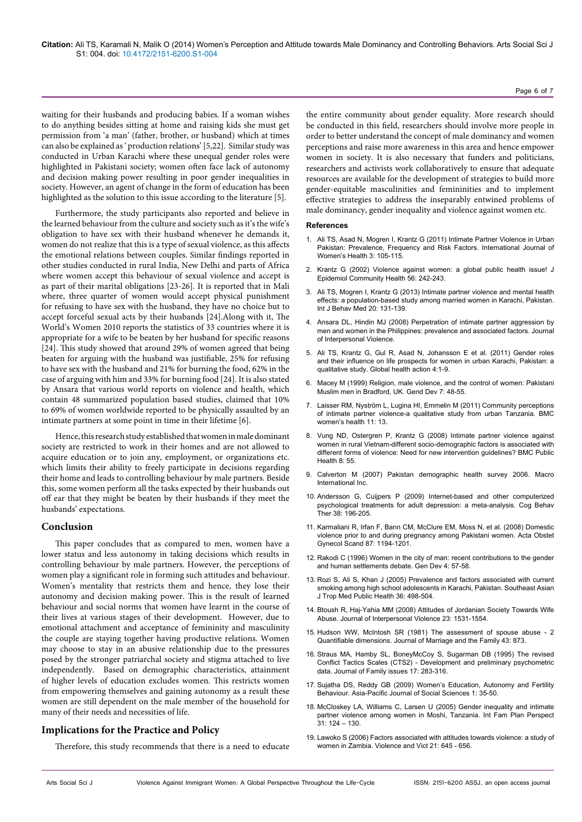waiting for their husbands and producing babies. If a woman wishes to do anything besides sitting at home and raising kids she must get permission from 'a man' (father, brother, or husband) which at times can also be explained as ' production relations' [5,22]. Similar study was conducted in Urban Karachi where these unequal gender roles were highlighted in Pakistani society; women often face lack of autonomy and decision making power resulting in poor gender inequalities in society. However, an agent of change in the form of education has been highlighted as the solution to this issue according to the literature [5].

Furthermore, the study participants also reported and believe in the learned behaviour from the culture and society such as it's the wife's obligation to have sex with their husband whenever he demands it, women do not realize that this is a type of sexual violence, as this affects the emotional relations between couples. Similar findings reported in other studies conducted in rural India, New Delhi and parts of Africa where women accept this behaviour of sexual violence and accept is as part of their marital obligations [23-26]. It is reported that in Mali where, three quarter of women would accept physical punishment for refusing to have sex with the husband, they have no choice but to accept forceful sexual acts by their husbands [24].Along with it, The World's Women 2010 reports the statistics of 33 countries where it is appropriate for a wife to be beaten by her husband for specific reasons [24]. This study showed that around 29% of women agreed that being beaten for arguing with the husband was justifiable, 25% for refusing to have sex with the husband and 21% for burning the food, 62% in the case of arguing with him and 33% for burning food [24]. It is also stated by Ansara that various world reports on violence and health, which contain 48 summarized population based studies, claimed that 10% to 69% of women worldwide reported to be physically assaulted by an intimate partners at some point in time in their lifetime [6].

Hence, this research study established that women in male dominant society are restricted to work in their homes and are not allowed to acquire education or to join any, employment, or organizations etc. which limits their ability to freely participate in decisions regarding their home and leads to controlling behaviour by male partners. Beside this, some women perform all the tasks expected by their husbands out off ear that they might be beaten by their husbands if they meet the husbands' expectations.

#### **Conclusion**

This paper concludes that as compared to men, women have a lower status and less autonomy in taking decisions which results in controlling behaviour by male partners. However, the perceptions of women play a significant role in forming such attitudes and behaviour. Women's mentality that restricts them and hence, they lose their autonomy and decision making power. This is the result of learned behaviour and social norms that women have learnt in the course of their lives at various stages of their development. However, due to emotional attachment and acceptance of femininity and masculinity the couple are staying together having productive relations. Women may choose to stay in an abusive relationship due to the pressures posed by the stronger patriarchal society and stigma attached to live independently. Based on demographic characteristics, attainment of higher levels of education excludes women. This restricts women from empowering themselves and gaining autonomy as a result these women are still dependent on the male member of the household for many of their needs and necessities of life.

## **Implications for the Practice and Policy**

Therefore, this study recommends that there is a need to educate

the entire community about gender equality. More research should be conducted in this field, researchers should involve more people in order to better understand the concept of male dominancy and women perceptions and raise more awareness in this area and hence empower women in society. It is also necessary that funders and politicians, researchers and activists work collaboratively to ensure that adequate resources are available for the development of strategies to build more gender-equitable masculinities and femininities and to implement effective strategies to address the inseparably entwined problems of male dominancy, gender inequality and violence against women etc.

#### **References**

- 1. [Ali TS, Asad N, Mogren I, Krantz G \(2011\) Intimate Partner Violence in Urban](http://www.ncbi.nlm.nih.gov/pmc/articles/PMC3089428/)  [Pakistan: Prevalence, Frequency and Risk Factors. International Journal of](http://www.ncbi.nlm.nih.gov/pmc/articles/PMC3089428/)  [Women's Health 3: 105-115.](http://www.ncbi.nlm.nih.gov/pmc/articles/PMC3089428/)
- 2. [Krantz G \(2002\) Violence against women: a global public health issue! J](http://www.ncbi.nlm.nih.gov/pmc/articles/PMC1732122/)  [Epidemiol Community Health 56: 242-243.](http://www.ncbi.nlm.nih.gov/pmc/articles/PMC1732122/)
- Ali TS, Mogren I, Krantz G (2013) Intimate partner violence and mental health [effects: a population-based study among married women in Karachi, Pakistan.](http://www.ncbi.nlm.nih.gov/pubmed/22037921)  [Int J Behav Med 20: 131-139.](http://www.ncbi.nlm.nih.gov/pubmed/22037921)
- 4. [Ansara DL, Hindin MJ \(2008\) Perpetration of intimate partner aggression by](http://jiv.sagepub.com/content/early/2008/09/03/0886260508323660.abstract)  [men and women in the Philippines: prevalence and associated factors. Journal](http://jiv.sagepub.com/content/early/2008/09/03/0886260508323660.abstract)  [of Interpersonal Violence.](http://jiv.sagepub.com/content/early/2008/09/03/0886260508323660.abstract)
- 5. [Ali TS, Krantz G, Gul R, Asad N, Johansson E et al. \(2011\) Gender roles](http://www.ncbi.nlm.nih.gov/pmc/articles/PMC3208374/)  [and their influence on life prospects for women in urban Karachi, Pakistan: a](http://www.ncbi.nlm.nih.gov/pmc/articles/PMC3208374/)  [qualitative study. Global health action 4:1-9.](http://www.ncbi.nlm.nih.gov/pmc/articles/PMC3208374/)
- Macey M (1999) Religion, male violence, and the control of women: Pakistani [Muslim men in Bradford, UK. Gend Dev 7: 48-55.](http://www.ncbi.nlm.nih.gov/pubmed/12295341)
- Laisser RM, Nyström L, Lugina HI, Emmelin M (2011) Community perceptions [of intimate partner violence-a qualitative study from urban Tanzania. BMC](http://www.biomedcentral.com/1472-6874/11/13)  [women's health 11: 13.](http://www.biomedcentral.com/1472-6874/11/13)
- 8. [Vung ND, Ostergren P, Krantz G \(2008\) Intimate partner violence against](http://www.biomedcentral.com/1471-2458/8/55/)  [women in rural Vietnam-different socio-demographic factors is associated with](http://www.biomedcentral.com/1471-2458/8/55/)  [different forms of violence: Need for new intervention guidelines? BMC Public](http://www.biomedcentral.com/1471-2458/8/55/)  [Health 8: 55.](http://www.biomedcentral.com/1471-2458/8/55/)
- 9. [Calverton M \(2007\) Pakistan demographic health survey 2006. Macro](http://dhsprogram.com/pubs/pdf/FR200/FR200.pdf)  [International Inc.](http://dhsprogram.com/pubs/pdf/FR200/FR200.pdf)
- 10. [Andersson G, Cuijpers P \(2009\) Internet-based and other computerized](http://www.ncbi.nlm.nih.gov/pubmed/20183695)  [psychological treatments for adult depression: a meta-analysis. Cog Behav](http://www.ncbi.nlm.nih.gov/pubmed/20183695)  [Ther 38: 196-205.](http://www.ncbi.nlm.nih.gov/pubmed/20183695)
- 11. [Karmaliani R, Irfan F, Bann CM, McClure EM, Moss N, et al. \(2008\) Domestic](http://www.ncbi.nlm.nih.gov/pubmed/18951219)  [violence prior to and during pregnancy among Pakistani women. Acta Obstet](http://www.ncbi.nlm.nih.gov/pubmed/18951219)  [Gynecol Scand 87: 1194-1201.](http://www.ncbi.nlm.nih.gov/pubmed/18951219)
- 12. [Rakodi C \(1996\) Women in the city of man: recent contributions to the gender](http://www.ncbi.nlm.nih.gov/pubmed/12346984)  [and human settlements debate. Gen Dev 4: 57-58.](http://www.ncbi.nlm.nih.gov/pubmed/12346984)
- 13. [Rozi S, Ali S, Khan J \(2005\) Prevalence and factors associated with current](http://www.ncbi.nlm.nih.gov/pubmed/15916062)  [smoking among high school adolescents in Karachi, Pakistan. Southeast Asian](http://www.ncbi.nlm.nih.gov/pubmed/15916062)  [J Trop Med Public Health 36: 498-504.](http://www.ncbi.nlm.nih.gov/pubmed/15916062)
- 14. [Btoush R, Haj-Yahia MM \(2008\) Attitudes of Jordanian Society Towards Wife](http://jiv.sagepub.com/content/23/11/1531.abstract)  [Abuse. Journal of Interpersonal Violence 23: 1531-1554.](http://jiv.sagepub.com/content/23/11/1531.abstract)
- 15. Hudson WW, McIntosh SR (1981) The assessment of spouse abuse 2 Quantifiable dimensions. Journal of Marriage and the Family 43: 873.
- 16. [Straus MA, Hamby SL, BoneyMcCoy S, Sugarman DB \(1995\) The revised](http://jfi.sagepub.com/content/17/3/283.short?rss=1&ssource=mfc)  [Conflict Tactics Scales \(CTS2\) - Development and preliminary psychometric](http://jfi.sagepub.com/content/17/3/283.short?rss=1&ssource=mfc)  [data. Journal of Family issues 17: 283-316.](http://jfi.sagepub.com/content/17/3/283.short?rss=1&ssource=mfc)
- 17. [Sujatha DS, Reddy GB \(2009\) Women's Education, Autonomy and Fertility](http://www.isaps-india.org/APJSS/3. Sai Sujatha.pdf)  [Behaviour. Asia-Pacific Journal of Social Sciences 1: 35-50.](http://www.isaps-india.org/APJSS/3. Sai Sujatha.pdf)
- 18. [McCloskey LA, Williams C, Larsen U \(2005\) Gender inequality and intimate](http://www.ncbi.nlm.nih.gov/pubmed/16263529)  [partner violence among women in Moshi, Tanzania. Int Fam Plan Perspect](http://www.ncbi.nlm.nih.gov/pubmed/16263529)  [31: 124 – 130.](http://www.ncbi.nlm.nih.gov/pubmed/16263529)
- 19. [Lawoko S \(2006\) Factors associated with attitudes towards violence: a study of](http://www.ncbi.nlm.nih.gov/pubmed/17022355)  [women in Zambia. Violence and Vict 21: 645 - 656.](http://www.ncbi.nlm.nih.gov/pubmed/17022355)